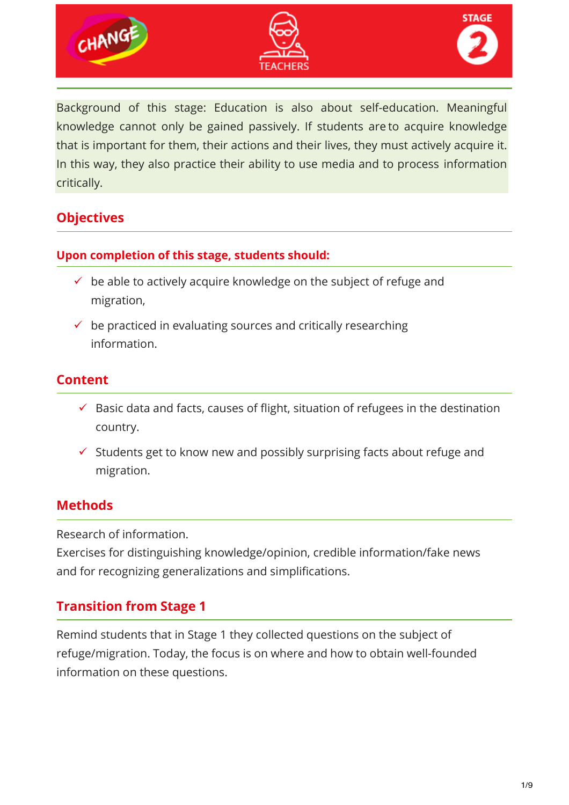





Background of this stage: Education is also about self-education. Meaningful knowledge cannot only be gained passively. If students are to acquire knowledge that is important for them, their actions and their lives, they must actively acquire it. In this way, they also practice their ability to use media and to process information critically.

## **Objectives**

### **Upon completion of this stage, students should:**

- $\checkmark$  be able to actively acquire knowledge on the subject of refuge and migration,
- $\checkmark$  be practiced in evaluating sources and critically researching information.

### **Content**

- $\checkmark$  Basic data and facts, causes of flight, situation of refugees in the destination country.
- $\checkmark$  Students get to know new and possibly surprising facts about refuge and migration.

### **Methods**

Research of information.

Exercises for distinguishing knowledge/opinion, credible information/fake news and for recognizing generalizations and simplifications.

## **Transition from Stage 1**

Remind students that in Stage 1 they collected questions on the subject of refuge/migration. Today, the focus is on where and how to obtain well-founded information on these questions.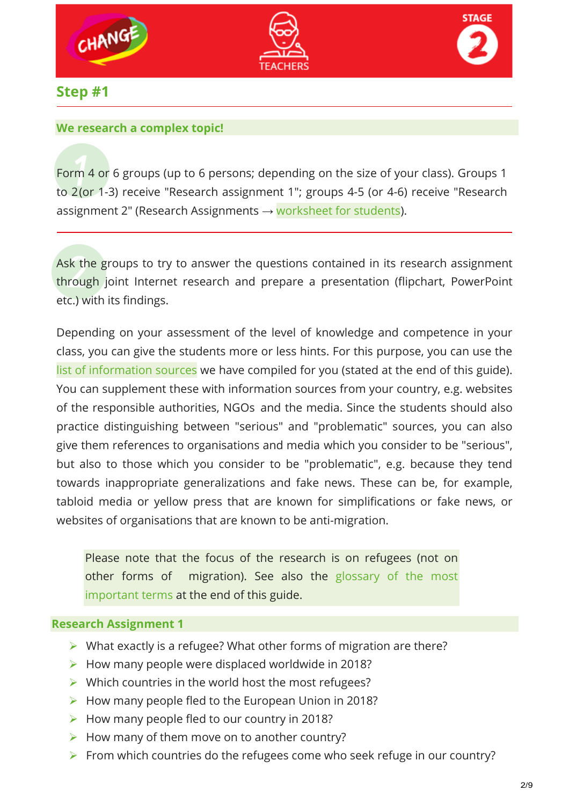





**Step #1**

#### **We research a complex topic!**

Form 4 or 6 groups (up to 6 persons; depending on the size of your class). Groups 1 to 2(or 1-3) receive "Research assignment 1"; groups 4-5 (or 4-6) receive "Research assignment 2" (Research Assignments  $\rightarrow$  worksheet for students).

Ask the groups to try to answer the questions contained in its research assignment through joint Internet research and prepare a presentation (flipchart, PowerPoint etc.) with its findings.

Depending on your assessment of the level of knowledge and competence in your class, you can give the students more or less hints. For this purpose, you can use the list of information sources we have compiled for you (stated at the end of this guide). You can supplement these with information sources from your country, e.g. websites of the responsible authorities, NGOs and the media. Since the students should also practice distinguishing between "serious" and "problematic" sources, you can also give them references to organisations and media which you consider to be "serious", but also to those which you consider to be "problematic", e.g. because they tend towards inappropriate generalizations and fake news. These can be, for example, tabloid media or yellow press that are known for simplifications or fake news, or websites of organisations that are known to be anti-migration.

Please note that the focus of the research is on refugees (not on other forms of migration). See also the glossary of the most important terms at the end of this guide.

#### **Research Assignment 1**

- $\triangleright$  What exactly is a refugee? What other forms of migration are there?
- $\triangleright$  How many people were displaced worldwide in 2018?
- $\triangleright$  Which countries in the world host the most refugees?
- $\triangleright$  How many people fled to the European Union in 2018?
- $\triangleright$  How many people fled to our country in 2018?
- $\triangleright$  How many of them move on to another country?
- $\triangleright$  From which countries do the refugees come who seek refuge in our country?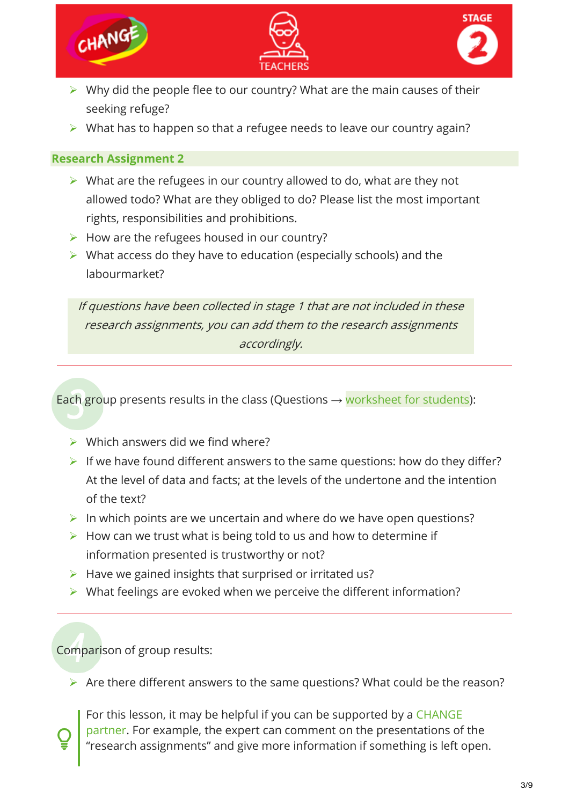





- $\triangleright$  Why did the people flee to our country? What are the main causes of their seeking refuge?
- $\triangleright$  What has to happen so that a refugee needs to leave our country again?

#### **Research Assignment 2**

- $\triangleright$  What are the refugees in our country allowed to do, what are they not allowed todo? What are they obliged to do? Please list the most important rights, responsibilities and prohibitions.
- $\triangleright$  How are the refugees housed in our country?
- $\triangleright$  What access do they have to education (especially schools) and the labourmarket?

If questions have been collected in stage 1 that are not included in these research assignments, you can add them to the research assignments accordingly.

Each group presents results in the class (Questions  $\rightarrow$  worksheet for students):

- $\triangleright$  Which answers did we find where?
- If we have found different answers to the same questions: how do they differ? At the level of data and facts; at the levels of the undertone and the intention of the text?
- In which points are we uncertain and where do we have open questions?
- $\triangleright$  How can we trust what is being told to us and how to determine if information presented is trustworthy or not?
- $\triangleright$  Have we gained insights that surprised or irritated us?
- $\triangleright$  What feelings are evoked when we perceive the different information?

Comparison of group results:

 $\triangleright$  Are there different answers to the same questions? What could be the reason?

For this lesson, it may be helpful if you can be supported by a CHANGE partner. For example, the expert can comment on the presentations of the "research assignments" and give more information if something is left open.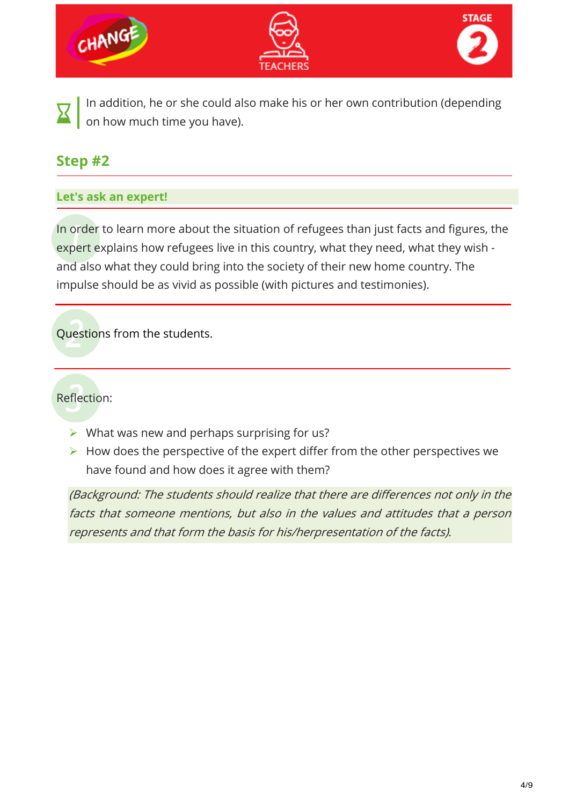

In addition, he or she could also make his or her own contribution (depending on how much time you have).

# **Step #2**

#### **Let's ask an expert!**

In order to learn more about the situation of refugees than just facts and figures, the expert explains how refugees live in this country, what they need, what they wish and also what they could bring into the society of their new home country. The impulse should be as vivid as possible (with pictures and testimonies).

Questions from the students.

Reflection:

- $\triangleright$  What was new and perhaps surprising for us?
- $\triangleright$  How does the perspective of the expert differ from the other perspectives we have found and how does it agree with them?

(Background: The students should realize that there are differences not only in the facts that someone mentions, but also in the values and attitudes that a person represents and that form the basis for his/herpresentation of the facts).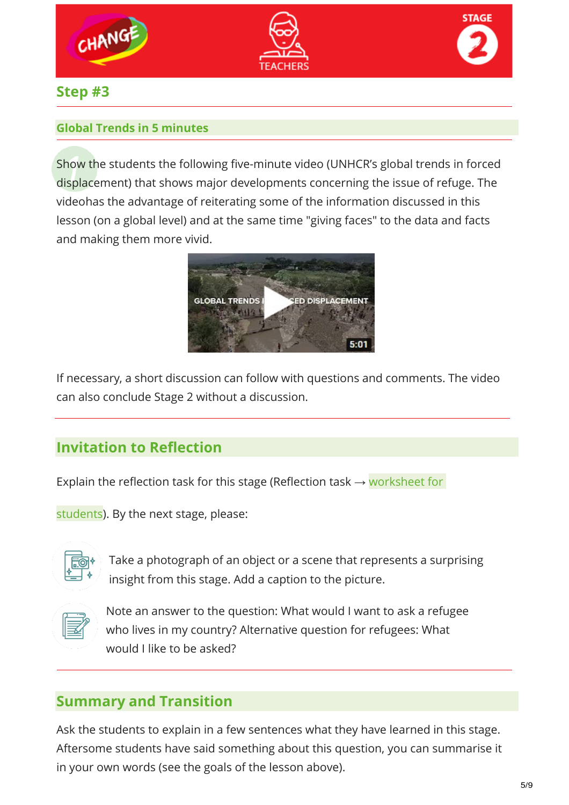





## **Step #3**

### **Global Trends in 5 minutes**

Show the students the following five-minute video (UNHCR's global trends in forced displacement) that shows major developments concerning the issue of refuge. The videohas the advantage of reiterating some of the information discussed in this lesson (on a global level) and at the same time "giving faces" to the data and facts and making them more vivid.



If necessary, a short discussion can follow with questions and comments. The video can also conclude Stage 2 without a discussion.

## **Invitation to Reflection**

Explain the reflection task for this stage (Reflection task  $\rightarrow$  worksheet for

students). By the next stage, please:



Take a photograph of an object or a scene that represents a surprising insight from this stage. Add a caption to the picture.



Note an answer to the question: What would I want to ask a refugee who lives in my country? Alternative question for refugees: What would I like to be asked?

## **Summary and Transition**

Ask the students to explain in a few sentences what they have learned in this stage. Aftersome students have said something about this question, you can summarise it in your own words (see the goals of the lesson above).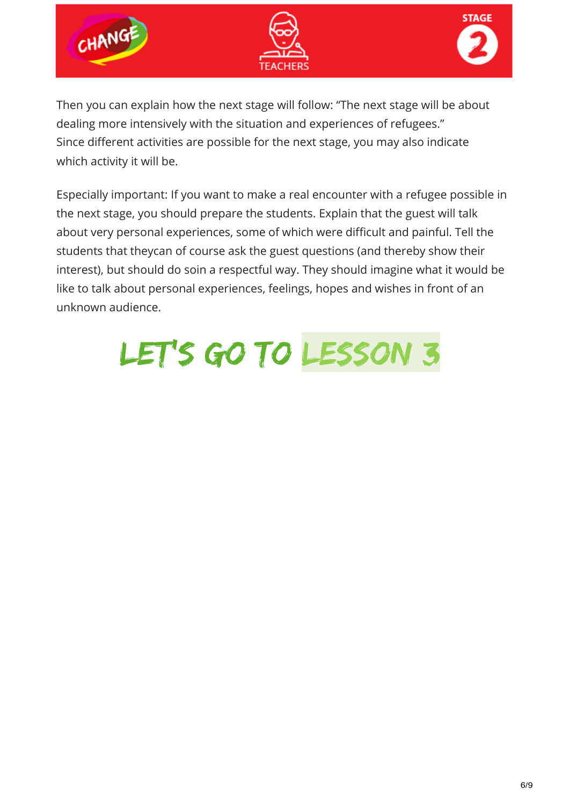





Then you can explain how the next stage will follow: "The next stage will be about dealing more intensively with the situation and experiences of refugees." Since different activities are possible for the next stage, you may also indicate which activity it will be.

Especially important: If you want to make a real encounter with a refugee possible in the next stage, you should prepare the students. Explain that the guest will talk about very personal experiences, some of which were difficult and painful. Tell the students that theycan of course ask the guest questions (and thereby show their interest), but should do soin a respectful way. They should imagine what it would be like to talk about personal experiences, feelings, hopes and wishes in front of an unknown audience.

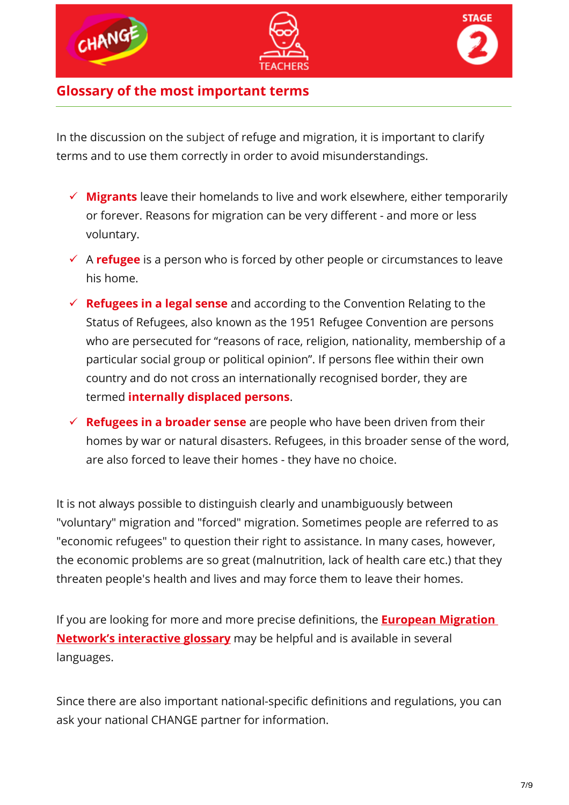





### **Glossary of the most important terms**

In the discussion on the subject of refuge and migration, it is important to clarify terms and to use them correctly in order to avoid misunderstandings.

- **Migrants** leave their homelands to live and work elsewhere, either temporarily or forever. Reasons for migration can be very different - and more or less voluntary.
- A **refugee** is a person who is forced by other people or circumstances to leave his home.
- **Refugees in a legal sense** and according to the Convention Relating to the Status of Refugees, also known as the 1951 Refugee Convention are persons who are persecuted for "reasons of race, religion, nationality, membership of a particular social group or political opinion". If persons flee within their own country and do not cross an internationally recognised border, they are termed **internally displaced persons**.
- **Refugees in a broader sense** are people who have been driven from their homes by war or natural disasters. Refugees, in this broader sense of the word, are also forced to leave their homes - they have no choice.

It is not always possible to distinguish clearly and unambiguously between "voluntary" migration and "forced" migration. Sometimes people are referred to as "economic refugees" to question their right to assistance. In many cases, however, the economic problems are so great (malnutrition, lack of health care etc.) that they threaten people's health and lives and may force them to leave their homes.

If you are looking for more and more precise definitions, the **[European Migration](https://ec.europa.eu/home-affairs/what-we-do/networks/european_migration_network/glossary)  [Network's interactive glossary](https://ec.europa.eu/home-affairs/what-we-do/networks/european_migration_network/glossary)** may be helpful and is available in several languages.

Since there are also important national-specific definitions and regulations, you can ask your national CHANGE partner for information.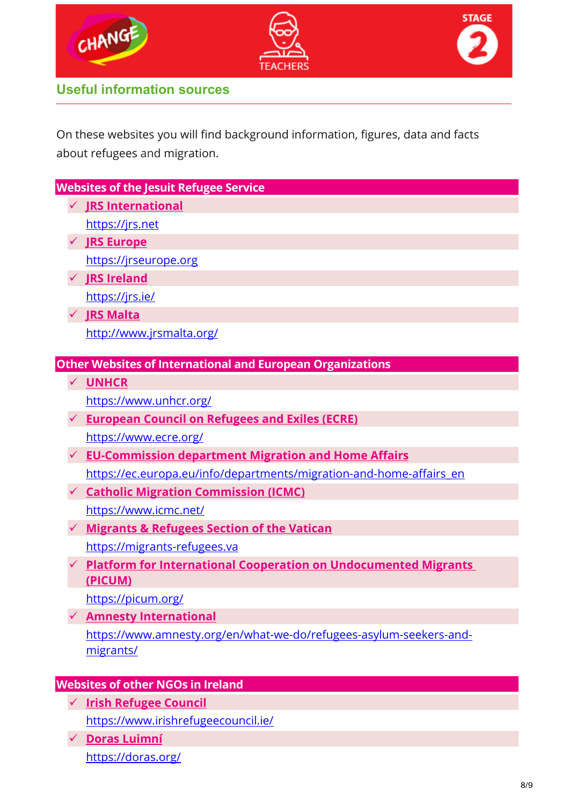





**Useful information sources**

On these websites you will find background information, figures, data and facts about refugees and migration.

| <b>Websites of the Jesuit Refugee Service</b> |  |                                                                        |
|-----------------------------------------------|--|------------------------------------------------------------------------|
|                                               |  | <b>✓ JRS International</b>                                             |
|                                               |  | https://jrs.net                                                        |
|                                               |  | <b>JRS Europe</b>                                                      |
|                                               |  | https://jrseurope.org                                                  |
|                                               |  | <b>JRS Ireland</b>                                                     |
|                                               |  | https://jrs.ie/                                                        |
|                                               |  | <b>JRS Malta</b>                                                       |
|                                               |  | http://www.jrsmalta.org/                                               |
|                                               |  |                                                                        |
|                                               |  | <b>Other Websites of International and European Organizations</b>      |
|                                               |  | <b>UNHCR</b>                                                           |
|                                               |  | https://www.unhcr.org/                                                 |
|                                               |  | <b>European Council on Refugees and Exiles (ECRE)</b>                  |
|                                               |  | https://www.ecre.org/                                                  |
|                                               |  | <b>EU-Commission department Migration and Home Affairs</b>             |
|                                               |  | https://ec.europa.eu/info/departments/migration-and-home-affairs_en    |
|                                               |  | <b>Catholic Migration Commission (ICMC)</b>                            |
|                                               |  | https://www.icmc.net/                                                  |
|                                               |  | <b>Migrants &amp; Refugees Section of the Vatican</b>                  |
|                                               |  | https://migrants-refugees.va                                           |
|                                               |  | <b>Platform for International Cooperation on Undocumented Migrants</b> |
|                                               |  | (PICUM)                                                                |
|                                               |  | https://picum.org/                                                     |
|                                               |  | <b>Amnesty International</b>                                           |
|                                               |  | https://www.amnesty.org/en/what-we-do/refugees-asylum-seekers-and-     |
|                                               |  | migrants/                                                              |
|                                               |  | <b>Websites of other NGOs in Ireland</b>                               |

- **Websites of other NGOs in Ireland**
	- **[Irish Refugee Council](https://www.irishrefugeecouncil.ie/)** <https://www.irishrefugeecouncil.ie/>
	- **[Doras Luimní](https://doras.org/)** <https://doras.org/>